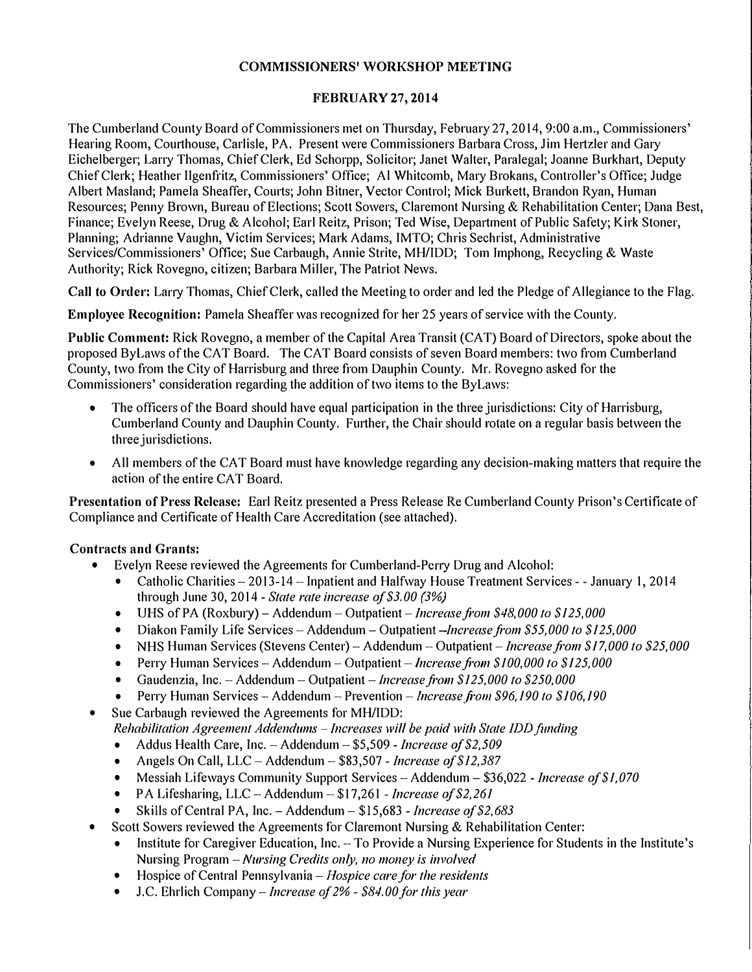## **COMMISSIONERS' WORKSHOP MEETING**

## **FEBRUARY** 27, **2014**

The Cumberland County Board of Commissioners met on Thursday, February 27, 2014, 9:00 a.m., Commissioners' Hearing Room, Courthouse, Carlisle, PA. Present were Commissioners Barbara Cross, Jim Hertzler and Gary Eichelberger; Larry Thomas, Chief Clerk, Ed Schorpp, Solicitor; Janet Walter, Paralegal; Joanne Burkhart, Deputy Chief Clerk; Heather Ilgenfritz, Commissioners' Office; Al Whitcomb, Mary Brokans, Controller's Office; Judge Albert Masland; Pamela Sheaffer, Courts; John Bitner, Vector Control; Mick Burkett, Brandon Ryan, Human Resources; Penny Brown, Bureau of Elections; Scott Sowers, Claremont Nursing & Rehabilitation Center; Dana Best, Finance; Evelyn Reese, Drug & Alcohol; Earl Reitz, Prison; Ted Wise, Department of Public Safety; Kirk Stoner, Planning; Adrianne Vaughn, Victim Services; Mark Adams, IMTO; Chris Sechrist, Administrative Services/Commissioners' Office; Sue Carbaugh, Annie Strite, MH/IDD; Tom lmphong, Recycling & Waste Authority; Rick Rovegno, citizen; Barbara Miller, The Patriot News.

**Call to Order:** Lany Thomas, Chief Clerk, called the Meeting to order and led the Pledge of Allegiance to the Flag.

**Employee Recognition:** Pamela Sheaffer was recognized for her 25 years of service with the County.

**Public Comment:** Rick Rovegno, a member of the Capital Area Transit (CAT) Board of Directors, spoke about the proposed Bylaws of the CAT Board. The CAT Board consists of seven Board members: two from Cumberland County, two f<sup>r</sup> om the City of Harrisburg and three f<sup>r</sup> om Dauphin County. Mr. Rovegno asked for the Commissioners' consideration regarding the addition of two items to the Bylaws:

- The officers of the Board should have equal participation in the three jurisdictions: City of Harrisburg, Cumberland County and Dauphin County. Further, the Chair should rotate on a regular basis between the three jurisdictions.
- All members of the CAT Board must have knowledge regarding any decision-making matters that require the action of the entire CAT Board.

**Presentation of Press Release:** Earl Reitz presented a Press Release Re Cumberland County Prison's Certificate of Compliance and Certificate of Health Care Accreditation (see attached).

- **Contracts and Grants:**<br>• Evelyn Reese reviewed the Agreements for Cumberland-Perry Drug and Alcohol:
	- Catholic Charities-2013-14-Inpatient and Halfway House Treatment Services - January I, 2014 through June 30, 2014 *-State rate increase o/\$3.00 (3%)* • UHS of PA (Roxbmy)-Addendum -*Outpatient-Increasefi·om \$48,000 to \$125,000*
	-
	- Diakon Family Life Services Addendum Outpatient  *Increase from \$55,000 to \$125,000*
	- NHS Human Services (Stevens Center) Addendum Outpatient *Increase from \$17,000 to \$25,000*
	- Perry Human Services -Addendum *-Outpatient-lncreasefi'Oln \$100,000 to \$125,000*  Gaudenzia, Inc. -Addendum -Outpatient *-Jncreasefi'Oln \$125,000 to \$250,000*
	-
	- Perry Human Services Addendum Prevention *Increase from \$96,190 to \$106,190*
	- Sue Carbaugh reviewed the Agreements for MH/IDD:
		- *Rehabilitation Agreement Addendums Increases will be paid with State IDD funding*<br>• Addus Health Care, Inc. Addendum \$5,509 *Increase of \$2,509*
		-
		- Addus Health Care, Inc. Addendum \$5,509 *Increase of \$2,509*<br>• Angels On Call, LLC Addendum \$83,507 *Increase of \$12,387*<br>• Messiah Lifeways Community Support Services Addendum \$36,022 *Increase of \$1,0*
		-
		-
	- Skills of Central PA, Inc. Addendum \$15,683  *Increase of \$2,683*<br>Scott Sowers reviewed the Agreements for Claremont Nursing & Rehabilitation Center:
		- Institute for Caregiver Education, Inc. -- To Provide a Nursing Experience for Students in the Institute's Nursing Program -- Nursing Credits only, no money is involved
		- Nursing Program -*Nursing Credits only, no money is involved*  Hospice of Central Pennsylvania -*Hospice care for the residents*
		- J.C. Ehrlich *Company-Increase of2% - \$84.00 for this y ear*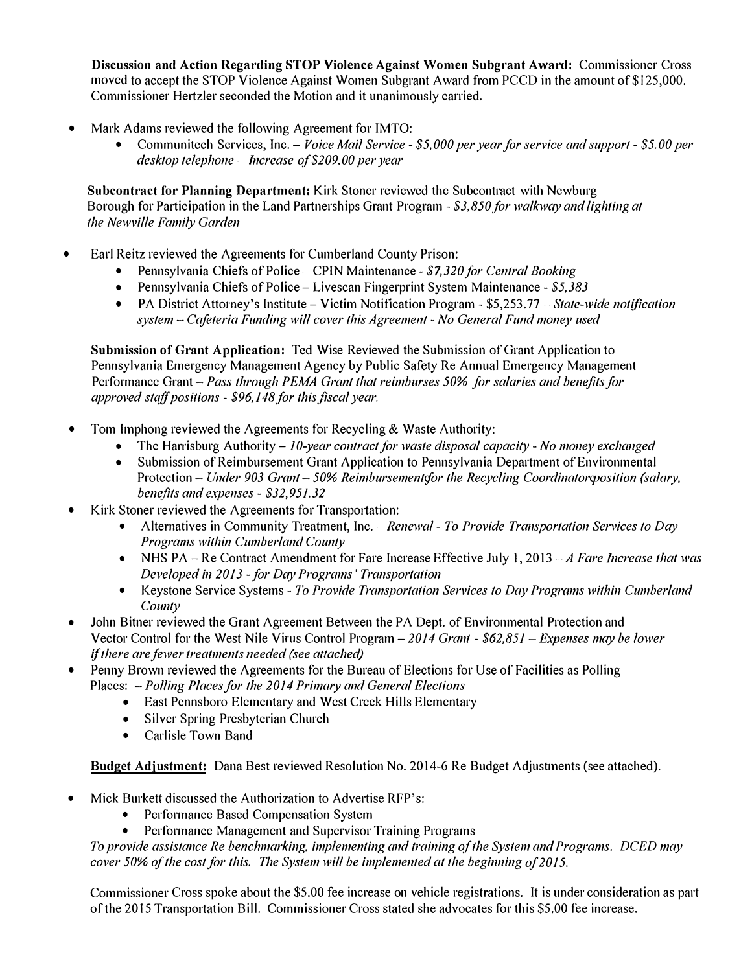**Discussion and Action Regarding STOP Violence Against Women Subgrant Award:** Commissioner Cross moved to accept the STOP Violence Against Women Subgrant Award from PCCD in the amount of\$125,000. Commissioner Hertzler seconded the Motion and it unanimously carried.

- - Mark Adams reviewed the following Agreement for IMTO: Communitech Services, Inc. -*Voice Mail Service \$5,000 per year for service and support \$5.00 per desktop telephone – Increase of \$209.00 per year*

**Subcontract for Planning Department:** Kirk Stoner reviewed the Subcontract with Newburg Borough for Participation in the Land Partnerships Grant Program - \$3,850 for walkway and lighting at *the Newville Family Garden* 

- Earl Reitz reviewed the Agreements for Cumberland County Prison:
	- Pennsylvania Chiefs of Police CPIN Maintenance \$7,320 for Central Booking
	-
	- Pennsylvania Chiefs of Police Livescan Fingerprint System Maintenance *\$5,383*<br>● PA District Attorney's Institute Victim Notification Program \$5,253.77 *State-wide notification* system -- Cafeteria Funding will cover this Agreement - No General Fund money used

**Submission of Grant Application:** Ted Wise Reviewed the Submission of Grant Application to Pennsylvania Emergency Management Agency by Public Safety Re Annual Emergency Management Performance Grant - Pass through PEMA Grant that reimburses 50% for salaries and benefits for *approved stc,ffpositions* - *\$96,148 for this fiscal year.* 

- Tom Imphong reviewed the Agreements for Recycling & Waste Authority:
	- The Hal'l'isburg Authority -*10-year contract for waste disposal capacity No money exchanged*
	- Submission of Reimbursement Grant Application to Pennsylvania Department of Environmental Protection - Under 903 Grant - 50% Reimbursementefor the Recycling Coordinatoreposition (salary, *benefits a11d expe11ses* - *\$32,951.32*
- - Kirk Stoner reviewed the Agreements for Transpo11ation: Alternatives in Community Treatment, Inc. *Renewal To Provide Tramportation Services to Day Programs within Cumberland County* 
		- NHS PA Re Contract Amendment for Fare Increase Effective July I, 2013 *-A Fare Increase that was*
		- *Developed in 2013 for Day Programs' Transportation*  Keystone Service Systems *To Provide Transportation Services to Day Programs within Cumberland County*
- John Bitner reviewed the Grant Agreement Between the PA Dept. of Environmental Protection and Vector Control for the West Nile Virus Control Program – 2014 Grant - *\$62,851 – Expenses may be lower if there are fewer treatments needed (see attached)*
- Penny Brown reviewed the Agreements for the Bureau of Elections for Use of Facilities as Polling Places: -*Polling Places for the 2014 Primary and General Elections* 
	- East Pennsboro Elementary and West Creek Hills Elementary
	- Silver Spring Presbyterian Church
	- Carlisle Town Band

**Budget Adjustment:** Dana Best reviewed Resolution No. 2014-6 Re Budget Adjustments (see attached).

- -
- Mick Burkett discussed the Authorization to Advertise RFP's:<br>• Performance Based Compensation System<br>• Performance Management and Supervisor Training Programs

*To provide assistance Re benchmarking, implementing and training of the System and Programs. DCED may cover 50% of the cost for this. The System will be implemented at the beginning of 2015.* 

Commissioner Cross spoke about the \$5.00 fee increase on vehicle registrations. It is under consideration as part of the 2015 Transp011ation Bill. Commissioner Cross stated she advocates for this \$5.00 fee increase.